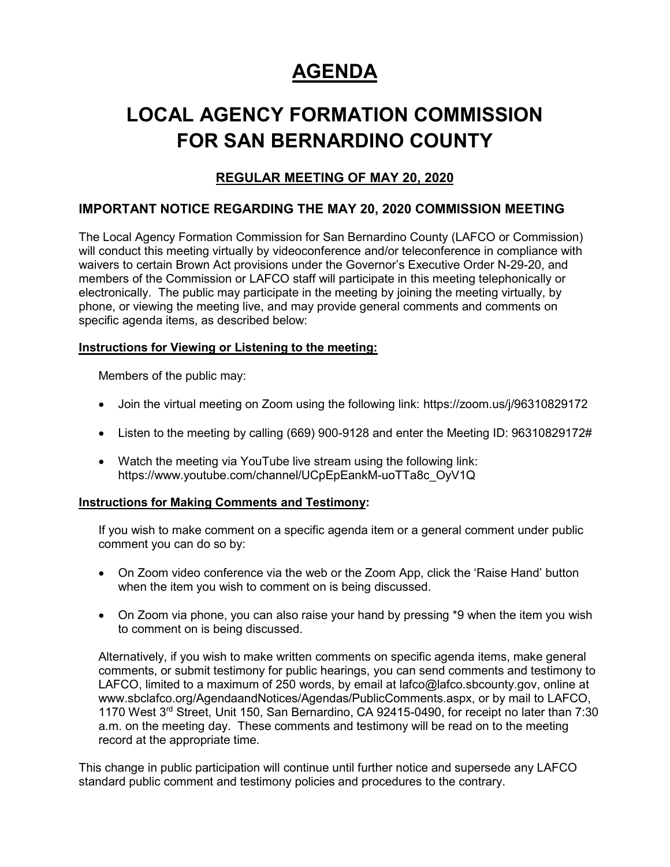# **AGENDA**

# **LOCAL AGENCY FORMATION COMMISSION FOR SAN BERNARDINO COUNTY**

# **REGULAR MEETING OF MAY 20, 2020**

## **IMPORTANT NOTICE REGARDING THE MAY 20, 2020 COMMISSION MEETING**

The Local Agency Formation Commission for San Bernardino County (LAFCO or Commission) will conduct this meeting virtually by videoconference and/or teleconference in compliance with waivers to certain Brown Act provisions under the Governor's Executive Order N-29-20, and members of the Commission or LAFCO staff will participate in this meeting telephonically or electronically. The public may participate in the meeting by joining the meeting virtually, by phone, or viewing the meeting live, and may provide general comments and comments on specific agenda items, as described below:

#### **Instructions for Viewing or Listening to the meeting:**

Members of the public may:

- Join the virtual meeting on Zoom using the following link: https://zoom.us/j/96310829172
- Listen to the meeting by calling (669) 900-9128 and enter the Meeting ID: 96310829172#
- Watch the meeting via YouTube live stream using the following link: https://www.youtube.com/channel/UCpEpEankM-uoTTa8c\_OyV1Q

#### **Instructions for Making Comments and Testimony:**

If you wish to make comment on a specific agenda item or a general comment under public comment you can do so by:

- On Zoom video conference via the web or the Zoom App, click the 'Raise Hand' button when the item you wish to comment on is being discussed.
- On Zoom via phone, you can also raise your hand by pressing \*9 when the item you wish to comment on is being discussed.

Alternatively, if you wish to make written comments on specific agenda items, make general comments, or submit testimony for public hearings, you can send comments and testimony to LAFCO, limited to a maximum of 250 words, by email at lafco@lafco.sbcounty.gov, online at www.sbclafco.org/AgendaandNotices/Agendas/PublicComments.aspx, or by mail to LAFCO, 1170 West 3rd Street, Unit 150, San Bernardino, CA 92415-0490, for receipt no later than 7:30 a.m. on the meeting day. These comments and testimony will be read on to the meeting record at the appropriate time.

This change in public participation will continue until further notice and supersede any LAFCO standard public comment and testimony policies and procedures to the contrary.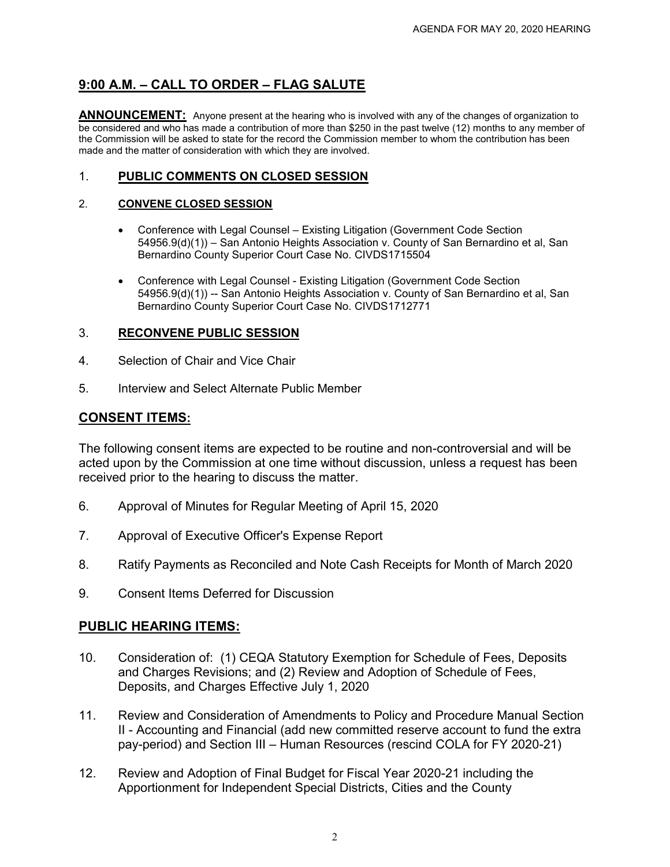# **9:00 A.M. – CALL TO ORDER – FLAG SALUTE**

**ANNOUNCEMENT:** Anyone present at the hearing who is involved with any of the changes of organization to be considered and who has made a contribution of more than \$250 in the past twelve (12) months to any member of the Commission will be asked to state for the record the Commission member to whom the contribution has been made and the matter of consideration with which they are involved.

### 1. **PUBLIC COMMENTS ON CLOSED SESSION**

#### 2. **CONVENE CLOSED SESSION**

- Conference with Legal Counsel Existing Litigation (Government Code Section 54956.9(d)(1)) – San Antonio Heights Association v. County of San Bernardino et al, San Bernardino County Superior Court Case No. CIVDS1715504
- Conference with Legal Counsel Existing Litigation (Government Code Section 54956.9(d)(1)) -- San Antonio Heights Association v. County of San Bernardino et al, San Bernardino County Superior Court Case No. CIVDS1712771

#### 3. **RECONVENE PUBLIC SESSION**

- 4. Selection of Chair and Vice Chair
- 5. Interview and Select Alternate Public Member

## **CONSENT ITEMS:**

The following consent items are expected to be routine and non-controversial and will be acted upon by the Commission at one time without discussion, unless a request has been received prior to the hearing to discuss the matter.

- 6. Approval of Minutes for Regular Meeting of April 15, 2020
- 7. Approval of Executive Officer's Expense Report
- 8. Ratify Payments as Reconciled and Note Cash Receipts for Month of March 2020
- 9. Consent Items Deferred for Discussion

### **PUBLIC HEARING ITEMS:**

- 10. Consideration of: (1) CEQA Statutory Exemption for Schedule of Fees, Deposits and Charges Revisions; and (2) Review and Adoption of Schedule of Fees, Deposits, and Charges Effective July 1, 2020
- 11. Review and Consideration of Amendments to Policy and Procedure Manual Section II - Accounting and Financial (add new committed reserve account to fund the extra pay-period) and Section III – Human Resources (rescind COLA for FY 2020-21)
- 12. Review and Adoption of Final Budget for Fiscal Year 2020-21 including the Apportionment for Independent Special Districts, Cities and the County